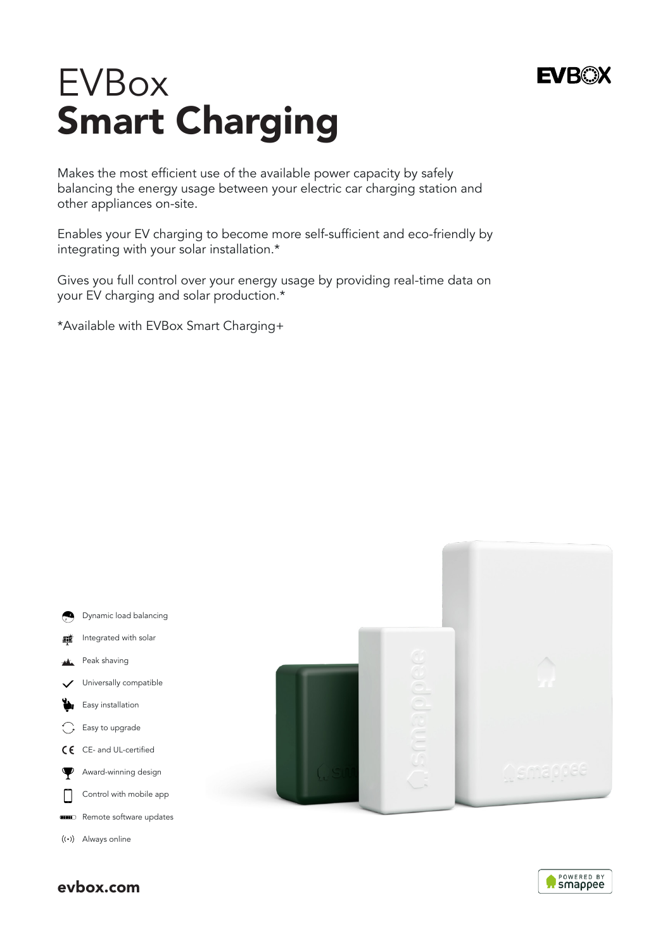# EVBox Smart Charging

Makes the most efficient use of the available power capacity by safely balancing the energy usage between your electric car charging station and other appliances on-site.

Enables your EV charging to become more self-sufficient and eco-friendly by integrating with your solar installation.\*

Gives you full control over your energy usage by providing real-time data on your EV charging and solar production.\*

\*Available with EVBox Smart Charging+



evbox.com



**EVROX**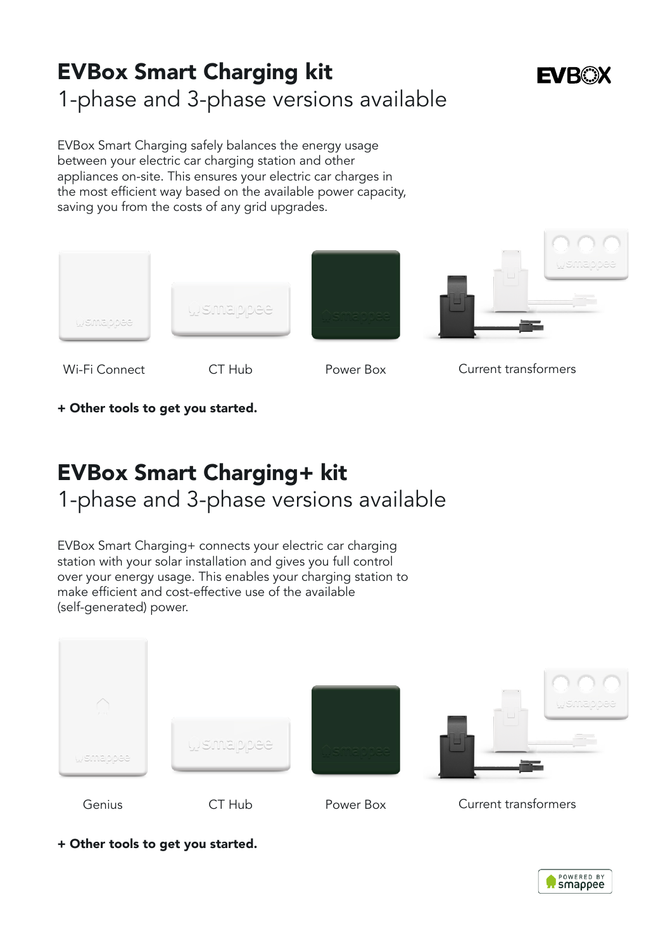# EVBox Smart Charging kit 1-phase and 3-phase versions available

# **FVROX**

EVBox Smart Charging safely balances the energy usage between your electric car charging station and other appliances on-site. This ensures your electric car charges in the most efficient way based on the available power capacity, saving you from the costs of any grid upgrades.



+ Other tools to get you started.

# EVBox Smart Charging+ kit 1-phase and 3-phase versions available

EVBox Smart Charging+ connects your electric car charging station with your solar installation and gives you full control over your energy usage. This enables your charging station to make efficient and cost-effective use of the available (self-generated) power.



+ Other tools to get you started.

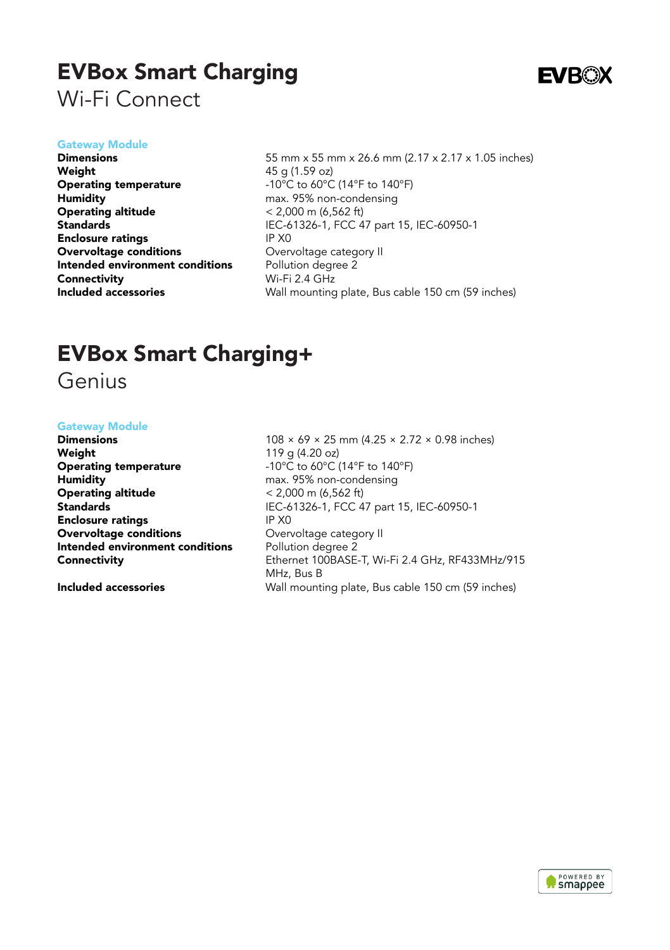### EVBox Smart Charging Wi-Fi Connect



#### Gateway Module

Dimensions Weight Operating temperature Humidity Operating altitude **Standards** Enclosure ratings Overvoltage conditions Intended environment conditions **Connectivity** Included accessories

55 mm x 55 mm x 26.6 mm (2.17 x 2.17 x 1.05 inches)  $45 \alpha (1.59 \alpha z)$ -10°C to 60°C (14°F to 140°F) max. 95% non-condensing < 2,000 m (6,562 ft) IEC-61326-1, FCC 47 part 15, IEC-60950-1 IP X0 Overvoltage category II Pollution degree 2 Wi-Fi 2.4 GHz Wall mounting plate, Bus cable 150 cm (59 inches)

### EVBox Smart Charging+

Genius

#### Gateway Module

Dimensions Weight Operating temperature **Humidity** Operating altitude **Standards** Enclosure ratings Overvoltage conditions Intended environment conditions **Connectivity** 

Included accessories

108 × 69 × 25 mm (4.25 × 2.72 × 0.98 inches) 119 g (4.20 oz) -10°C to 60°C (14°F to 140°F) max. 95% non-condensing  $< 2.000$  m (6.562 ft) IEC-61326-1, FCC 47 part 15, IEC-60950-1 IP X0 Overvoltage category II Pollution degree 2 Ethernet 100BASE-T, Wi-Fi 2.4 GHz, RF433MHz/915 MHz, Bus B Wall mounting plate, Bus cable 150 cm (59 inches)

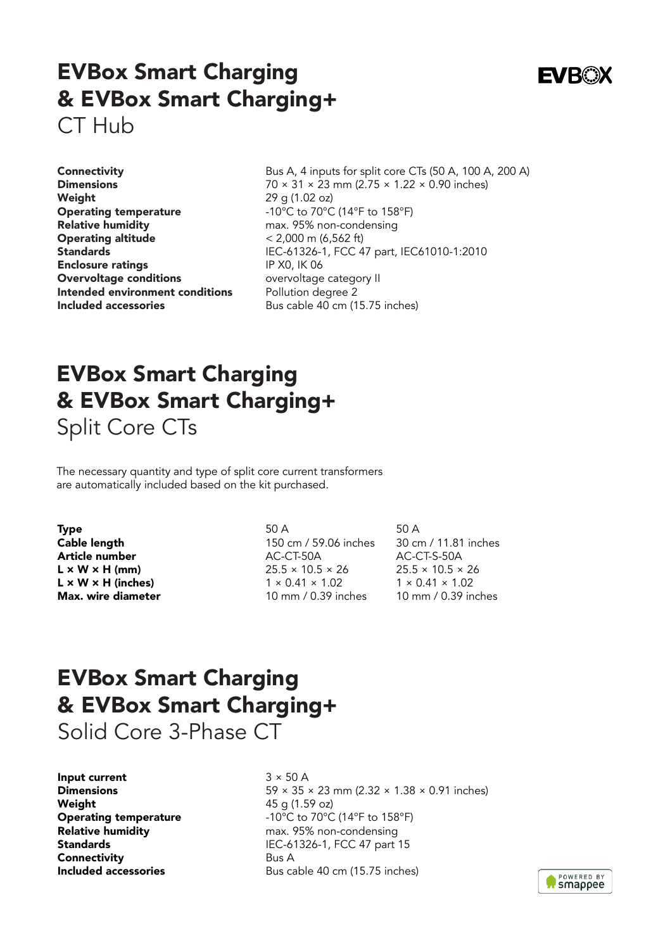### EVBox Smart Charging & EVBox Smart Charging+ CT Hub

**Connectivity** Dimensions Weight Operating temperature Relative humidity Operating altitude **Standards** Enclosure ratings Overvoltage conditions Intended environment conditions Included accessories

Bus A, 4 inputs for split core CTs (50 A, 100 A, 200 A) 70 × 31 × 23 mm (2.75 × 1.22 × 0.90 inches) 29 g (1.02 oz) -10°C to 70°C (14°F to 158°F) max. 95% non-condensing < 2,000 m (6,562 ft) IEC-61326-1, FCC 47 part, IEC61010-1:2010 IP X0, IK 06 overvoltage category II Pollution degree 2 Bus cable 40 cm (15.75 inches)

# EVBox Smart Charging & EVBox Smart Charging+ Split Core CTs

The necessary quantity and type of split core current transformers are automatically included based on the kit purchased.

Type Cable length Article number  $L \times W \times H$  (mm)  $L \times W \times H$  (inches) Max. wire diameter

50 A 150 cm / 59.06 inches AC-CT-50A  $25.5 \times 10.5 \times 26$  $1 \times 0.41 \times 1.02$ 10 mm / 0.39 inches

50 A 30 cm / 11.81 inches AC-CT-S-50A 25.5 × 10.5 × 26  $1 \times 0.41 \times 1.02$ 10 mm / 0.39 inches

# EVBox Smart Charging & EVBox Smart Charging+

Solid Core 3-Phase CT

Input current **Dimensions Weight** Operating temperature Relative humidity **Standards** Connectivity Included accessories

 $3 \times 50$  A 59 × 35 × 23 mm (2.32 × 1.38 × 0.91 inches) 45 g (1.59 oz) -10°C to 70°C (14°F to 158°F) max. 95% non-condensing IEC-61326-1, FCC 47 part 15 Bus A Bus cable 40 cm (15.75 inches)